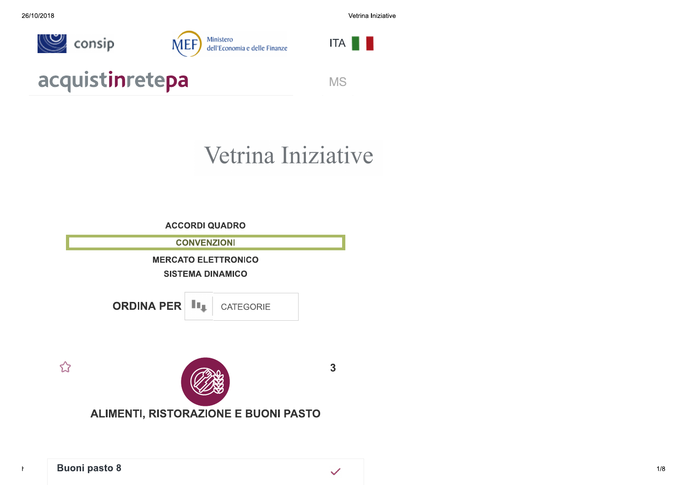

## Vetrina Iniziative

 $\checkmark$ 



**Buoni pasto 8** 

 $\mathsf{r}$ 

Vetrina Iniziative

 $1/8$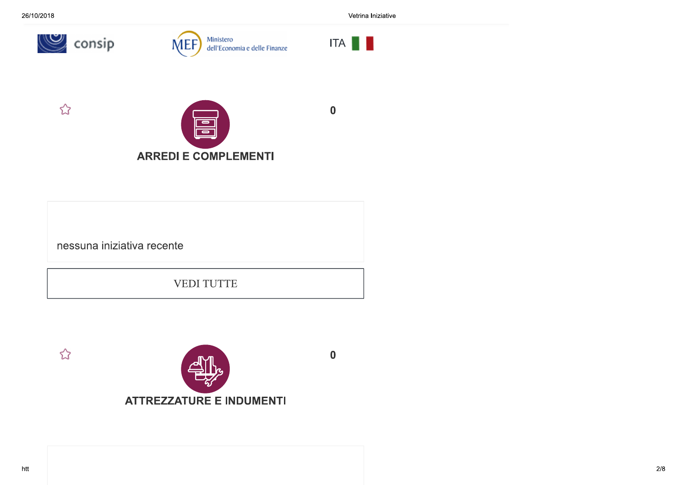$\rightsquigarrow$ 

☆

Vetrina Iniziative





dell'Economia e delle Finanze



 $\bf{0}$ 

 $\boldsymbol{0}$ 



nessuna iniziativa recente

**VEDI TUTTE** 

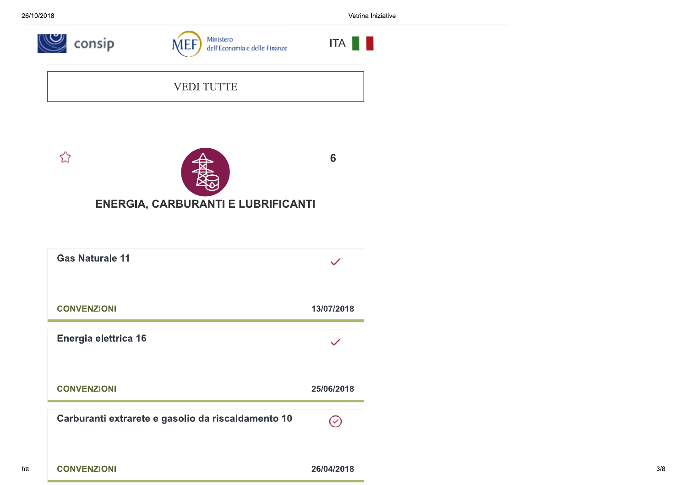Vetrina Iniziative





| <b>Gas Naturale 11</b>                             |            |
|----------------------------------------------------|------------|
| <b>CONVENZIONI</b>                                 | 13/07/2018 |
| Energia elettrica 16                               |            |
| <b>CONVENZIONI</b>                                 | 25/06/2018 |
| Carburanti extrarete e gasolio da riscaldamento 10 |            |
| <b>CONVENZIONI</b>                                 | 26/04/2018 |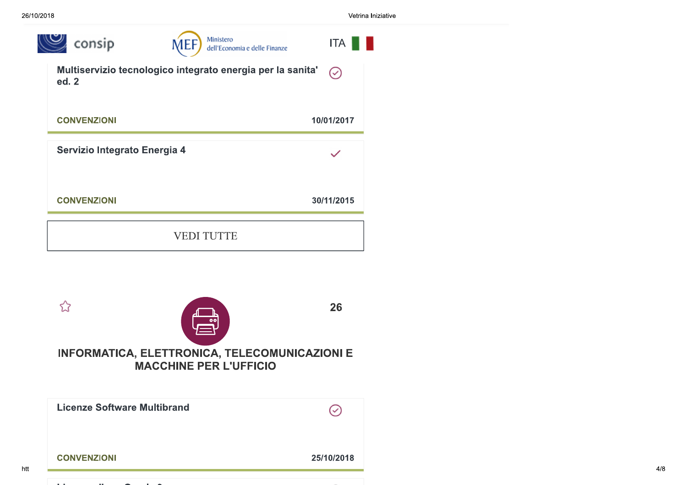



| <b>Licenze Software Multibrand</b> | $(\checkmark)$ |
|------------------------------------|----------------|
| <b>CONVENZIONI</b>                 | 25/10/2018     |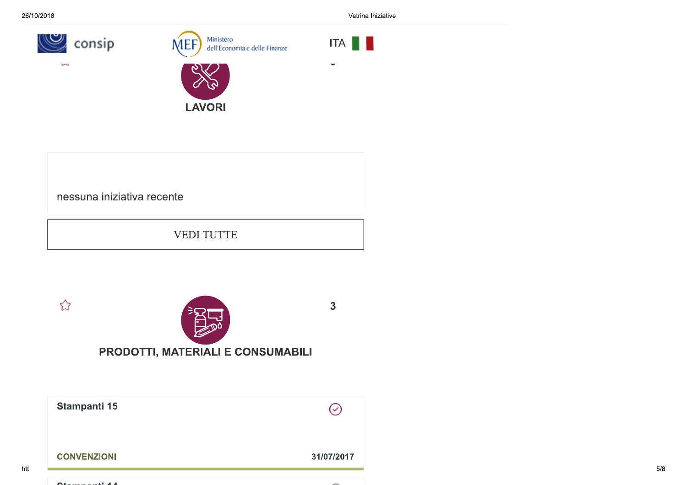Vetrina Iniziative

ITA **II** 

 $\checkmark$ 



nessuna iniziativa recente

**VEDI TUTTE** 



| Stampanti 15       | $\checkmark$ |
|--------------------|--------------|
| <b>CONVENZIONI</b> | 31/07/2017   |
|                    |              |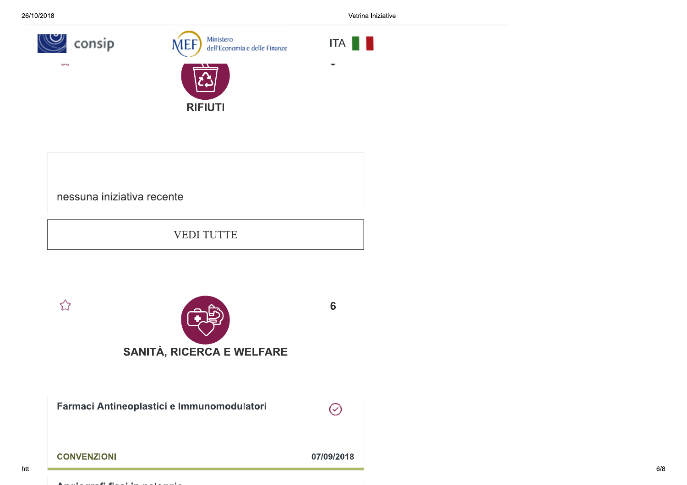Vetrina Iniziative



**Cha** 

 $\stackrel{\curvearrowleft}{\curvearrowright}$ 





 $\checkmark$ 

 $6\phantom{1}$ 

nessuna iniziativa recente

**VEDI TUTTE** 

**RIFIUTI** 



Farmaci Antineoplastici e Immunomodulatori  $\odot$ **CONVENZIONI** 07/09/2018

htt

a compared to the company of the company of the company of the company of the company of the company of the company of the company of the company of the company of the company of the company of the company of the company o

 $6/8$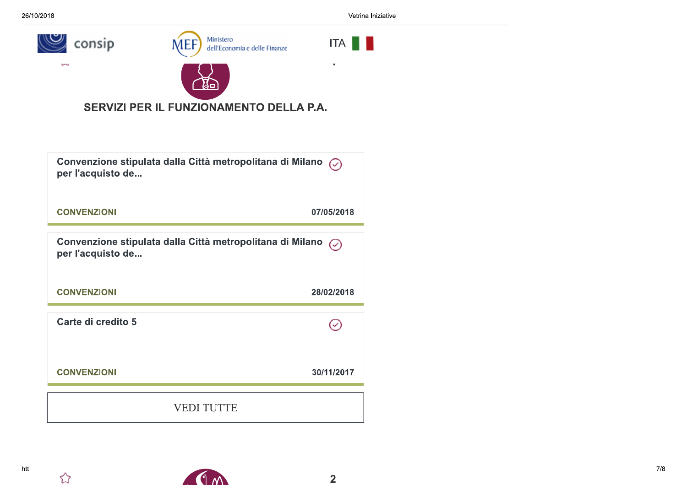ITA **II** 

 $\mathcal{C}$ 



## SERVIZI PER IL FUNZIONAMENTO DELLA P.A.

| Convenzione stipulata dalla Città metropolitana di Milano ⊘<br>per l'acquisto de         |            |  |
|------------------------------------------------------------------------------------------|------------|--|
| <b>CONVENZIONI</b>                                                                       | 07/05/2018 |  |
| Convenzione stipulata dalla Città metropolitana di Milano $\oslash$<br>per l'acquisto de |            |  |
| <b>CONVENZIONI</b>                                                                       | 28/02/2018 |  |
| Carte di credito 5                                                                       |            |  |
| <b>CONVENZIONI</b>                                                                       | 30/11/2017 |  |
| VEDI TUTTE                                                                               |            |  |

☆